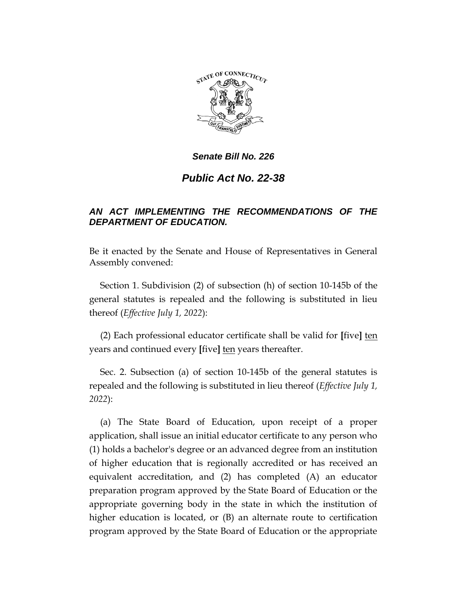

# *Public Act No. 22-38*

# *AN ACT IMPLEMENTING THE RECOMMENDATIONS OF THE DEPARTMENT OF EDUCATION.*

Be it enacted by the Senate and House of Representatives in General Assembly convened:

Section 1. Subdivision (2) of subsection (h) of section 10-145b of the general statutes is repealed and the following is substituted in lieu thereof (*Effective July 1, 2022*):

(2) Each professional educator certificate shall be valid for **[**five**]** ten years and continued every **[**five**]** ten years thereafter.

Sec. 2. Subsection (a) of section 10-145b of the general statutes is repealed and the following is substituted in lieu thereof (*Effective July 1, 2022*):

(a) The State Board of Education, upon receipt of a proper application, shall issue an initial educator certificate to any person who (1) holds a bachelor's degree or an advanced degree from an institution of higher education that is regionally accredited or has received an equivalent accreditation, and (2) has completed (A) an educator preparation program approved by the State Board of Education or the appropriate governing body in the state in which the institution of higher education is located, or (B) an alternate route to certification program approved by the State Board of Education or the appropriate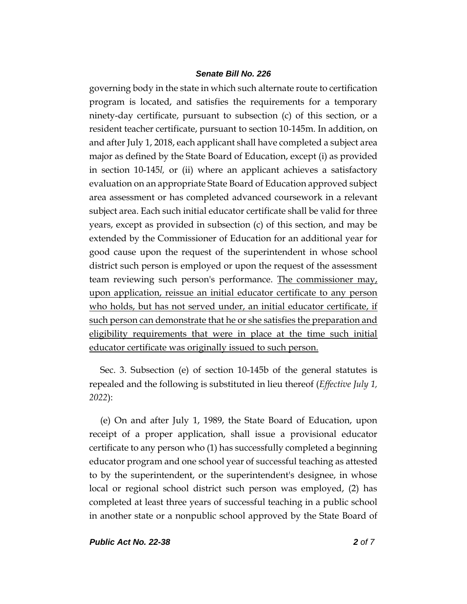governing body in the state in which such alternate route to certification program is located, and satisfies the requirements for a temporary ninety-day certificate, pursuant to subsection (c) of this section, or a resident teacher certificate, pursuant to section 10-145m. In addition, on and after July 1, 2018, each applicant shall have completed a subject area major as defined by the State Board of Education, except (i) as provided in section 10-145*l,* or (ii) where an applicant achieves a satisfactory evaluation on an appropriate State Board of Education approved subject area assessment or has completed advanced coursework in a relevant subject area. Each such initial educator certificate shall be valid for three years, except as provided in subsection (c) of this section, and may be extended by the Commissioner of Education for an additional year for good cause upon the request of the superintendent in whose school district such person is employed or upon the request of the assessment team reviewing such person's performance. The commissioner may, upon application, reissue an initial educator certificate to any person who holds, but has not served under, an initial educator certificate, if such person can demonstrate that he or she satisfies the preparation and eligibility requirements that were in place at the time such initial educator certificate was originally issued to such person.

Sec. 3. Subsection (e) of section 10-145b of the general statutes is repealed and the following is substituted in lieu thereof (*Effective July 1, 2022*):

(e) On and after July 1, 1989, the State Board of Education, upon receipt of a proper application, shall issue a provisional educator certificate to any person who (1) has successfully completed a beginning educator program and one school year of successful teaching as attested to by the superintendent, or the superintendent's designee, in whose local or regional school district such person was employed, (2) has completed at least three years of successful teaching in a public school in another state or a nonpublic school approved by the State Board of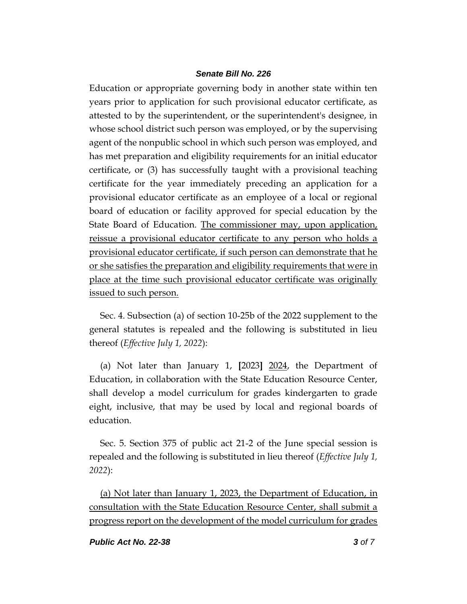Education or appropriate governing body in another state within ten years prior to application for such provisional educator certificate, as attested to by the superintendent, or the superintendent's designee, in whose school district such person was employed, or by the supervising agent of the nonpublic school in which such person was employed, and has met preparation and eligibility requirements for an initial educator certificate, or (3) has successfully taught with a provisional teaching certificate for the year immediately preceding an application for a provisional educator certificate as an employee of a local or regional board of education or facility approved for special education by the State Board of Education. The commissioner may, upon application, reissue a provisional educator certificate to any person who holds a provisional educator certificate, if such person can demonstrate that he or she satisfies the preparation and eligibility requirements that were in place at the time such provisional educator certificate was originally issued to such person.

Sec. 4. Subsection (a) of section 10-25b of the 2022 supplement to the general statutes is repealed and the following is substituted in lieu thereof (*Effective July 1, 2022*):

(a) Not later than January 1, **[**2023**]** 2024, the Department of Education, in collaboration with the State Education Resource Center, shall develop a model curriculum for grades kindergarten to grade eight, inclusive, that may be used by local and regional boards of education.

Sec. 5. Section 375 of public act 21-2 of the June special session is repealed and the following is substituted in lieu thereof (*Effective July 1, 2022*):

(a) Not later than January 1, 2023, the Department of Education, in consultation with the State Education Resource Center, shall submit a progress report on the development of the model curriculum for grades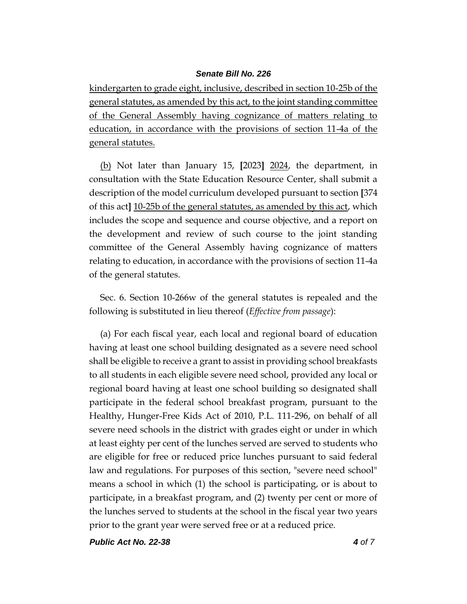kindergarten to grade eight, inclusive, described in section 10-25b of the general statutes, as amended by this act, to the joint standing committee of the General Assembly having cognizance of matters relating to education, in accordance with the provisions of section 11-4a of the general statutes.

(b) Not later than January 15, **[**2023**]** 2024, the department, in consultation with the State Education Resource Center, shall submit a description of the model curriculum developed pursuant to section **[**374 of this act**]** 10-25b of the general statutes, as amended by this act, which includes the scope and sequence and course objective, and a report on the development and review of such course to the joint standing committee of the General Assembly having cognizance of matters relating to education, in accordance with the provisions of section 11-4a of the general statutes.

Sec. 6. Section 10-266w of the general statutes is repealed and the following is substituted in lieu thereof (*Effective from passage*):

(a) For each fiscal year, each local and regional board of education having at least one school building designated as a severe need school shall be eligible to receive a grant to assist in providing school breakfasts to all students in each eligible severe need school, provided any local or regional board having at least one school building so designated shall participate in the federal school breakfast program, pursuant to the Healthy, Hunger-Free Kids Act of 2010, P.L. 111-296, on behalf of all severe need schools in the district with grades eight or under in which at least eighty per cent of the lunches served are served to students who are eligible for free or reduced price lunches pursuant to said federal law and regulations. For purposes of this section, "severe need school" means a school in which (1) the school is participating, or is about to participate, in a breakfast program, and (2) twenty per cent or more of the lunches served to students at the school in the fiscal year two years prior to the grant year were served free or at a reduced price.

*Public Act No. 22-38 4 of 7*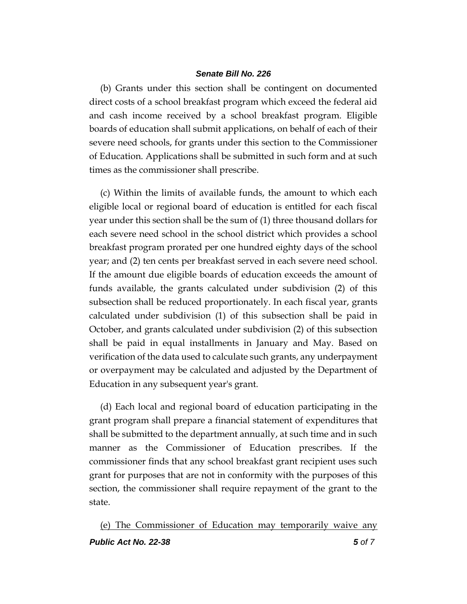(b) Grants under this section shall be contingent on documented direct costs of a school breakfast program which exceed the federal aid and cash income received by a school breakfast program. Eligible boards of education shall submit applications, on behalf of each of their severe need schools, for grants under this section to the Commissioner of Education. Applications shall be submitted in such form and at such times as the commissioner shall prescribe.

(c) Within the limits of available funds, the amount to which each eligible local or regional board of education is entitled for each fiscal year under this section shall be the sum of (1) three thousand dollars for each severe need school in the school district which provides a school breakfast program prorated per one hundred eighty days of the school year; and (2) ten cents per breakfast served in each severe need school. If the amount due eligible boards of education exceeds the amount of funds available, the grants calculated under subdivision (2) of this subsection shall be reduced proportionately. In each fiscal year, grants calculated under subdivision (1) of this subsection shall be paid in October, and grants calculated under subdivision (2) of this subsection shall be paid in equal installments in January and May. Based on verification of the data used to calculate such grants, any underpayment or overpayment may be calculated and adjusted by the Department of Education in any subsequent year's grant.

(d) Each local and regional board of education participating in the grant program shall prepare a financial statement of expenditures that shall be submitted to the department annually, at such time and in such manner as the Commissioner of Education prescribes. If the commissioner finds that any school breakfast grant recipient uses such grant for purposes that are not in conformity with the purposes of this section, the commissioner shall require repayment of the grant to the state.

*Public Act No. 22-38 5 of 7* (e) The Commissioner of Education may temporarily waive any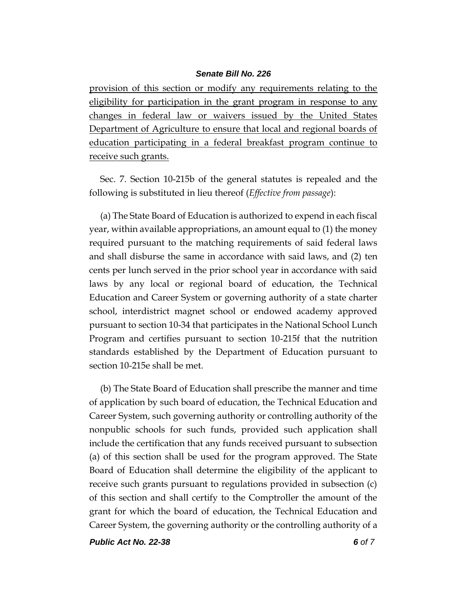provision of this section or modify any requirements relating to the eligibility for participation in the grant program in response to any changes in federal law or waivers issued by the United States Department of Agriculture to ensure that local and regional boards of education participating in a federal breakfast program continue to receive such grants.

Sec. 7. Section 10-215b of the general statutes is repealed and the following is substituted in lieu thereof (*Effective from passage*):

(a) The State Board of Education is authorized to expend in each fiscal year, within available appropriations, an amount equal to (1) the money required pursuant to the matching requirements of said federal laws and shall disburse the same in accordance with said laws, and (2) ten cents per lunch served in the prior school year in accordance with said laws by any local or regional board of education, the Technical Education and Career System or governing authority of a state charter school, interdistrict magnet school or endowed academy approved pursuant to section 10-34 that participates in the National School Lunch Program and certifies pursuant to section 10-215f that the nutrition standards established by the Department of Education pursuant to section 10-215e shall be met.

(b) The State Board of Education shall prescribe the manner and time of application by such board of education, the Technical Education and Career System, such governing authority or controlling authority of the nonpublic schools for such funds, provided such application shall include the certification that any funds received pursuant to subsection (a) of this section shall be used for the program approved. The State Board of Education shall determine the eligibility of the applicant to receive such grants pursuant to regulations provided in subsection (c) of this section and shall certify to the Comptroller the amount of the grant for which the board of education, the Technical Education and Career System, the governing authority or the controlling authority of a

*Public Act No. 22-38 6 of 7*